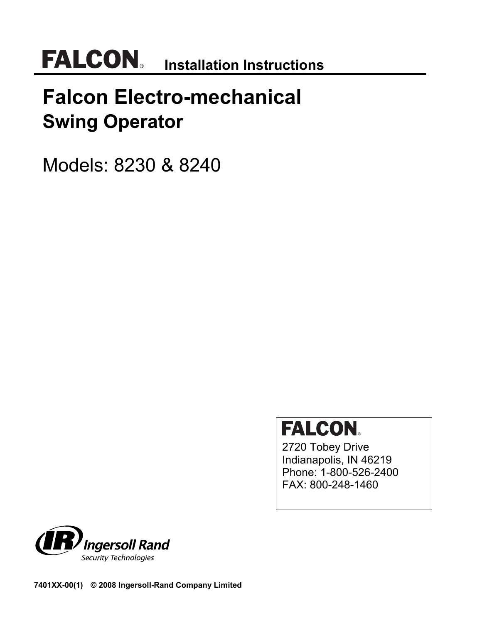## **Falcon Electro-mechanical Swing Operator**

Models: 8230 & 8240

# **FALCON**

2720 Tobey Drive Indianapolis, IN 46219 Phone: 1-800-526-2400 FAX: 800-248-1460



**7401XX-00(1) © 2008 Ingersoll-Rand Company Limited**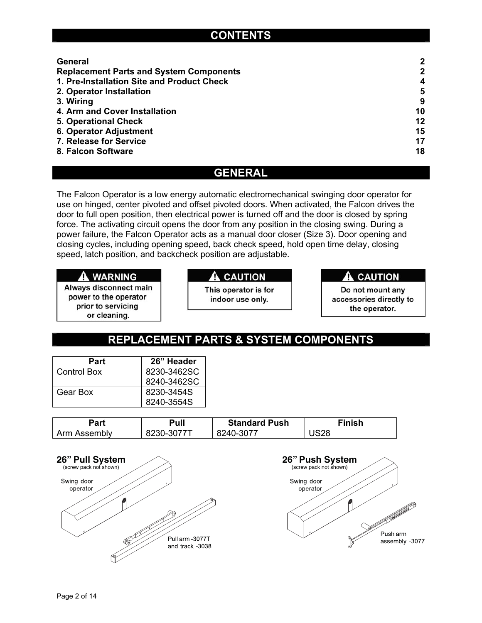## **CONTENTS**

| General                                        | 2           |
|------------------------------------------------|-------------|
| <b>Replacement Parts and System Components</b> | $\mathbf 2$ |
| 1. Pre-Installation Site and Product Check     | 4           |
| 2. Operator Installation                       | 5           |
| 3. Wiring                                      | 9           |
| 4. Arm and Cover Installation                  | 10          |
| <b>5. Operational Check</b>                    | 12          |
| <b>6. Operator Adjustment</b>                  | 15          |
| 7. Release for Service                         | 17          |
| 8. Falcon Software                             | 18          |

### **GENERAL**

The Falcon Operator is a low energy automatic electromechanical swinging door operator for use on hinged, center pivoted and offset pivoted doors. When activated, the Falcon drives the door to full open position, then electrical power is turned off and the door is closed by spring force. The activating circuit opens the door from any position in the closing swing. During a power failure, the Falcon Operator acts as a manual door closer (Size 3). Door opening and closing cycles, including opening speed, back check speed, hold open time delay, closing speed, latch position, and backcheck position are adjustable.

#### A WARNING

Always disconnect main power to the operator prior to servicing or cleaning.

#### **A** CAUTION

This operator is for indoor use only.

#### **A** CAUTION

Do not mount any accessories directly to the operator.

## **REPLACEMENT PARTS & SYSTEM COMPONENTS**

| Part        | 26" Header  |
|-------------|-------------|
| Control Box | 8230-3462SC |
|             | 8240-3462SC |
| Gear Box    | 8230-3454S  |
|             | 8240-3554S  |

| Part         | Pull       | <b>Standard Push</b> | Finish |
|--------------|------------|----------------------|--------|
| Arm Assembly | 8230-3077T | 8240-3077            | US28   |



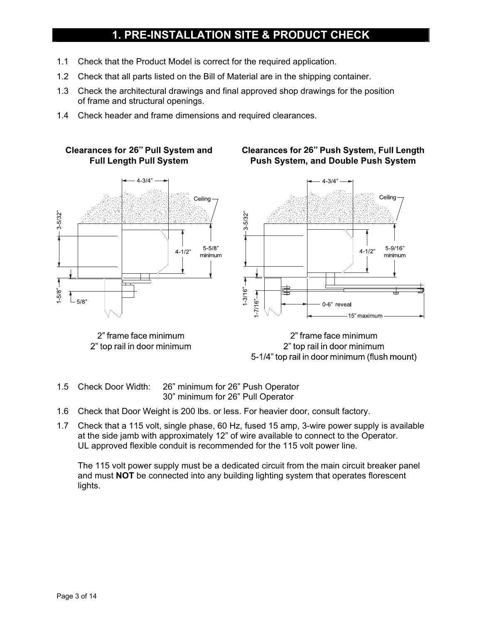## **1. PRE-INSTALLATION SITE & PRODUCT CHECK**

- 1.1 Check that the Product Model is correct for the required application.
- 1.2 Check that all parts listed on the Bill of Material are in the shipping container.
- 1.3 Check the architectural drawings and final approved shop drawings for the position of frame and structural openings.
- 1.4 Check header and frame dimensions and required clearances.

## **Full Length Pull System**



2" frame face minimum 2" top rail in door minimum

#### **Clearances for 26" Pull System and Clearances for 26" Push System, Full Length Push System, and Double Push System**



2" frame face minimum 2" top rail in door minimum 5-1/4" top rail in door minimum (flush mount)

- 1.5 Check Door Width: 26" minimum for 26" Push Operator 30" minimum for 26" Pull Operator
- 1.6 Check that Door Weight is 200 lbs. or less. For heavier door, consult factory.
- 1.7 Check that a 115 volt, single phase, 60 Hz, fused 15 amp, 3-wire power supply is available at the side jamb with approximately 12" of wire available to connect to the Operator. UL approved flexible conduit is recommended for the 115 volt power line.

The 115 volt power supply must be a dedicated circuit from the main circuit breaker panel and must **NOT** be connected into any building lighting system that operates florescent lights.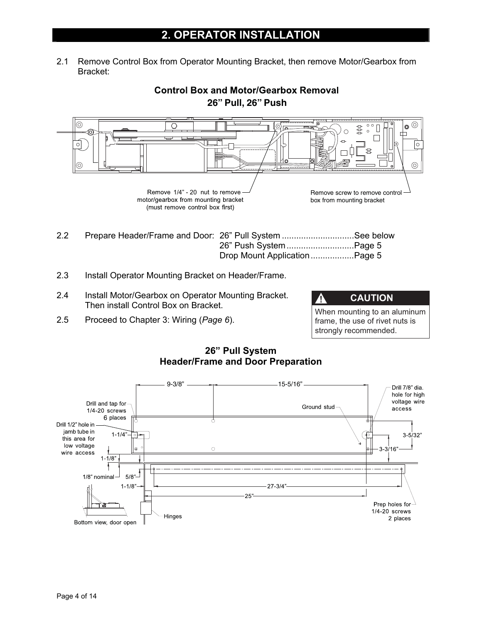2.1 Remove Control Box from Operator Mounting Bracket, then remove Motor/Gearbox from Bracket:



2.3 Install Operator Mounting Bracket on Header/Frame.

- 2.4 Install Motor/Gearbox on Operator Mounting Bracket. Then install Control Box on Bracket.
- 2.5 Proceed to Chapter 3: Wiring (*Page 6*).

| <b>A</b><br><b>CAUTION</b>                                      |
|-----------------------------------------------------------------|
| When mounting to an aluminum<br>frame, the use of rivet nuts is |
| strongly recommended.                                           |



#### **26" Pull System Header/Frame and Door Preparation**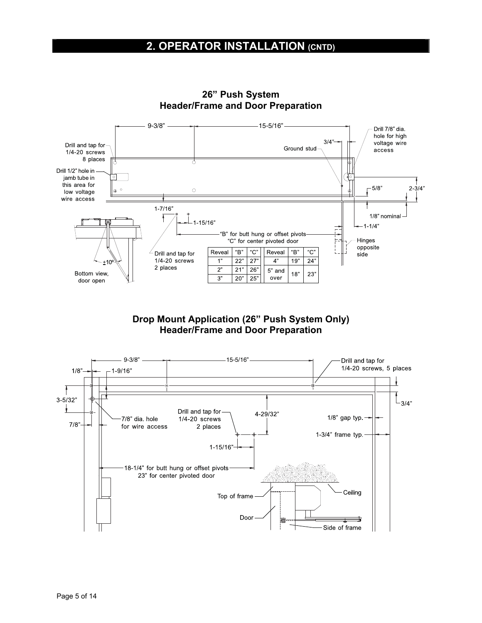## **2. OPERATOR INSTALLATION (CNTD)**



**26" Push System Header/Frame and Door Preparation** 

**Drop Mount Application (26" Push System Only) Header/Frame and Door Preparation** 

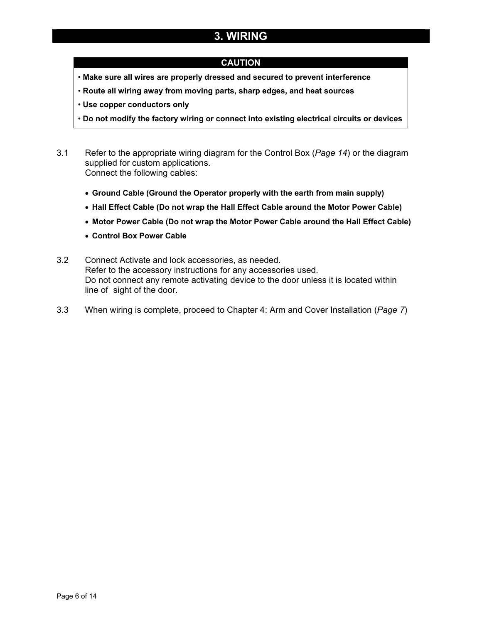## **3. WIRING**

#### **CAUTION**

- **Make sure all wires are properly dressed and secured to prevent interference**
- **Route all wiring away from moving parts, sharp edges, and heat sources**
- **Use copper conductors only**
- **Do not modify the factory wiring or connect into existing electrical circuits or devices**
- 3.1 Refer to the appropriate wiring diagram for the Control Box (*Page 14*) or the diagram supplied for custom applications. Connect the following cables:
	- ! **Ground Cable (Ground the Operator properly with the earth from main supply)**
	- ! **Hall Effect Cable (Do not wrap the Hall Effect Cable around the Motor Power Cable)**
	- ! **Motor Power Cable (Do not wrap the Motor Power Cable around the Hall Effect Cable)**
	- ! **Control Box Power Cable**
- 3.2 Connect Activate and lock accessories, as needed. Refer to the accessory instructions for any accessories used. Do not connect any remote activating device to the door unless it is located within line of sight of the door.
- 3.3 When wiring is complete, proceed to Chapter 4: Arm and Cover Installation (*Page 7*)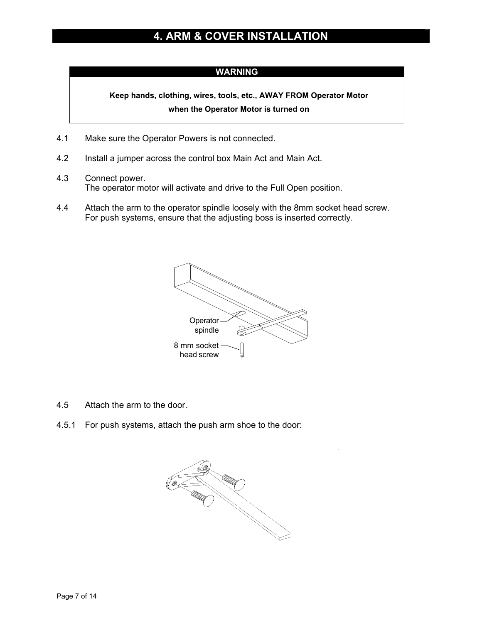## **4. ARM & COVER INSTALLATION**

#### **WARNING**

**Keep hands, clothing, wires, tools, etc., AWAY FROM Operator Motor when the Operator Motor is turned on** 

- 4.1 Make sure the Operator Powers is not connected.
- 4.2 Install a jumper across the control box Main Act and Main Act.
- 4.3 Connect power. The operator motor will activate and drive to the Full Open position.
- 4.4 Attach the arm to the operator spindle loosely with the 8mm socket head screw. For push systems, ensure that the adjusting boss is inserted correctly.



- 4.5 Attach the arm to the door.
- 4.5.1 For push systems, attach the push arm shoe to the door:

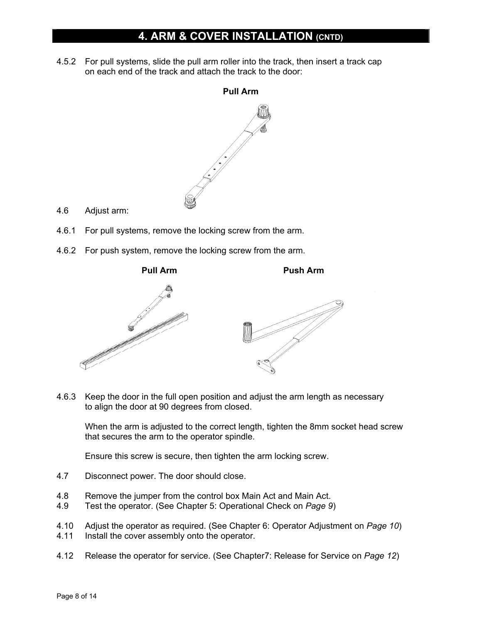## **4. ARM & COVER INSTALLATION (CNTD)**

4.5.2 For pull systems, slide the pull arm roller into the track, then insert a track cap on each end of the track and attach the track to the door:



- 4.6 Adjust arm:
- 4.6.1 For pull systems, remove the locking screw from the arm.
- 4.6.2 For push system, remove the locking screw from the arm.



4.6.3 Keep the door in the full open position and adjust the arm length as necessary to align the door at 90 degrees from closed.

 When the arm is adjusted to the correct length, tighten the 8mm socket head screw that secures the arm to the operator spindle.

Ensure this screw is secure, then tighten the arm locking screw.

- 4.7 Disconnect power. The door should close.
- 4.8 Remove the jumper from the control box Main Act and Main Act.
- 4.9 Test the operator. (See Chapter 5: Operational Check on *Page 9*)
- 4.10 Adjust the operator as required. (See Chapter 6: Operator Adjustment on *Page 10*)
- 4.11 Install the cover assembly onto the operator.
- 4.12 Release the operator for service. (See Chapter7: Release for Service on *Page 12*)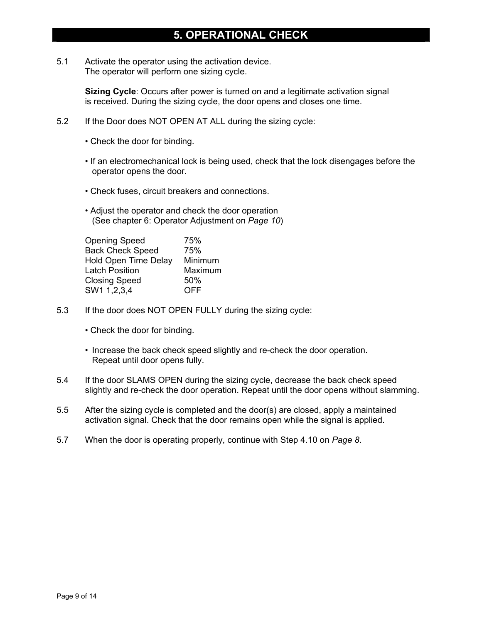## **5. OPERATIONAL CHECK**

5.1 Activate the operator using the activation device. The operator will perform one sizing cycle.

> **Sizing Cycle**: Occurs after power is turned on and a legitimate activation signal is received. During the sizing cycle, the door opens and closes one time.

- 5.2 If the Door does NOT OPEN AT ALL during the sizing cycle:
	- Check the door for binding.
	- If an electromechanical lock is being used, check that the lock disengages before the operator opens the door.
	- Check fuses, circuit breakers and connections.
	- Adjust the operator and check the door operation (See chapter 6: Operator Adjustment on *Page 10*)

| <b>Opening Speed</b>        | 75%     |
|-----------------------------|---------|
| <b>Back Check Speed</b>     | 75%     |
| <b>Hold Open Time Delay</b> | Minimum |
| <b>Latch Position</b>       | Maximum |
| <b>Closing Speed</b>        | 50%     |
| SW1 1,2,3,4                 | OFF     |

- 5.3 If the door does NOT OPEN FULLY during the sizing cycle:
	- Check the door for binding.
	- Increase the back check speed slightly and re-check the door operation. Repeat until door opens fully.
- 5.4 If the door SLAMS OPEN during the sizing cycle, decrease the back check speed slightly and re-check the door operation. Repeat until the door opens without slamming.
- 5.5 After the sizing cycle is completed and the door(s) are closed, apply a maintained activation signal. Check that the door remains open while the signal is applied.
- 5.7 When the door is operating properly, continue with Step 4.10 on *Page 8*.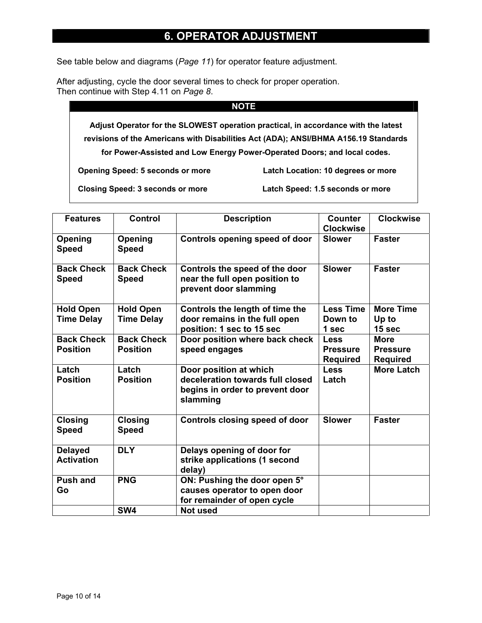### **6. OPERATOR ADJUSTMENT**

See table below and diagrams (*Page 11*) for operator feature adjustment.

After adjusting, cycle the door several times to check for proper operation. Then continue with Step 4.11 on *Page 8*.

#### **NOTE**

**Adjust Operator for the SLOWEST operation practical, in accordance with the latest revisions of the Americans with Disabilities Act (ADA); ANSI/BHMA A156.19 Standards for Power-Assisted and Low Energy Power-Operated Doors; and local codes.** 

**Opening Speed: 5 seconds or more Latch Location: 10 degrees or more** 

**Closing Speed: 3 seconds or more Latch Speed: 1.5 seconds or more** 

| <b>Features</b>                      | <b>Control</b>                       | <b>Description</b>                                                                                        | <b>Counter</b><br><b>Clockwise</b>                | <b>Clockwise</b>                                  |
|--------------------------------------|--------------------------------------|-----------------------------------------------------------------------------------------------------------|---------------------------------------------------|---------------------------------------------------|
| Opening<br><b>Speed</b>              | Opening<br><b>Speed</b>              | Controls opening speed of door                                                                            | <b>Slower</b>                                     | <b>Faster</b>                                     |
| <b>Back Check</b><br><b>Speed</b>    | <b>Back Check</b><br><b>Speed</b>    | Controls the speed of the door<br>near the full open position to<br>prevent door slamming                 | <b>Slower</b>                                     | <b>Faster</b>                                     |
| <b>Hold Open</b>                     | <b>Hold Open</b>                     | Controls the length of time the                                                                           | <b>Less Time</b>                                  | <b>More Time</b>                                  |
| <b>Time Delay</b>                    | <b>Time Delay</b>                    | door remains in the full open<br>position: 1 sec to 15 sec                                                | Down to<br>1 sec                                  | Up to<br>15 sec                                   |
| <b>Back Check</b><br><b>Position</b> | <b>Back Check</b><br><b>Position</b> | Door position where back check<br>speed engages                                                           | <b>Less</b><br><b>Pressure</b><br><b>Required</b> | <b>More</b><br><b>Pressure</b><br><b>Required</b> |
| Latch<br><b>Position</b>             | Latch<br><b>Position</b>             | Door position at which<br>deceleration towards full closed<br>begins in order to prevent door<br>slamming | <b>Less</b><br>Latch                              | <b>More Latch</b>                                 |
| <b>Closing</b><br><b>Speed</b>       | <b>Closing</b><br><b>Speed</b>       | <b>Controls closing speed of door</b>                                                                     | <b>Slower</b>                                     | <b>Faster</b>                                     |
| <b>Delayed</b><br><b>Activation</b>  | <b>DLY</b>                           | Delays opening of door for<br>strike applications (1 second<br>delay)                                     |                                                   |                                                   |
| <b>Push and</b><br>Go                | <b>PNG</b>                           | ON: Pushing the door open 5°<br>causes operator to open door<br>for remainder of open cycle               |                                                   |                                                   |
|                                      | SW4                                  | <b>Not used</b>                                                                                           |                                                   |                                                   |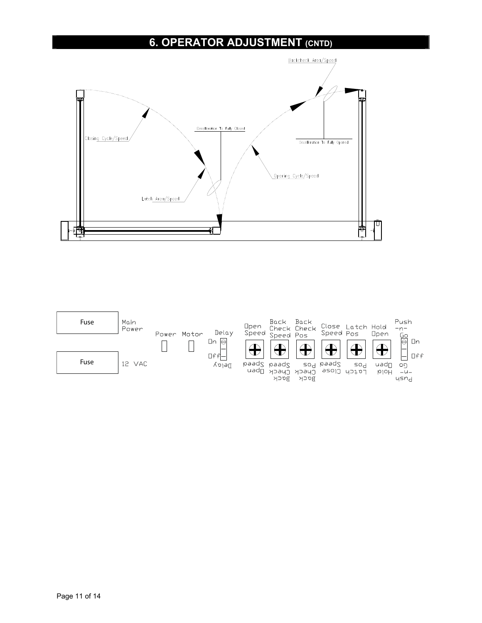## **6. OPERATOR ADJUSTMENT (CNTD)**



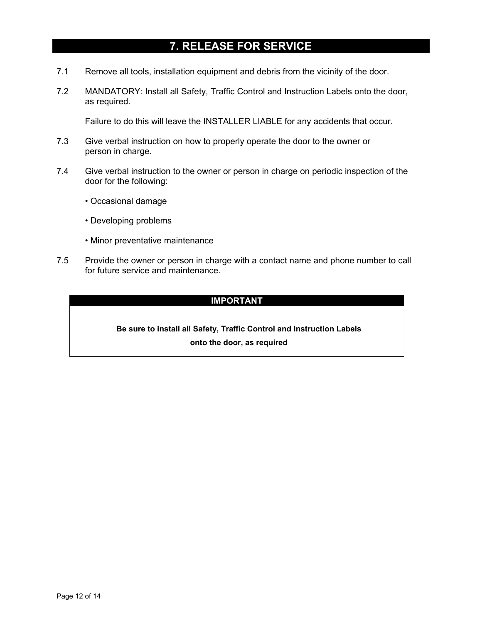## **7. RELEASE FOR SERVICE**

- 7.1 Remove all tools, installation equipment and debris from the vicinity of the door.
- 7.2 MANDATORY: Install all Safety, Traffic Control and Instruction Labels onto the door, as required.

Failure to do this will leave the INSTALLER LIABLE for any accidents that occur.

- 7.3 Give verbal instruction on how to properly operate the door to the owner or person in charge.
- 7.4 Give verbal instruction to the owner or person in charge on periodic inspection of the door for the following:
	- Occasional damage
	- Developing problems
	- Minor preventative maintenance
- 7.5 Provide the owner or person in charge with a contact name and phone number to call for future service and maintenance.

#### **IMPORTANT**

#### **Be sure to install all Safety, Traffic Control and Instruction Labels onto the door, as required**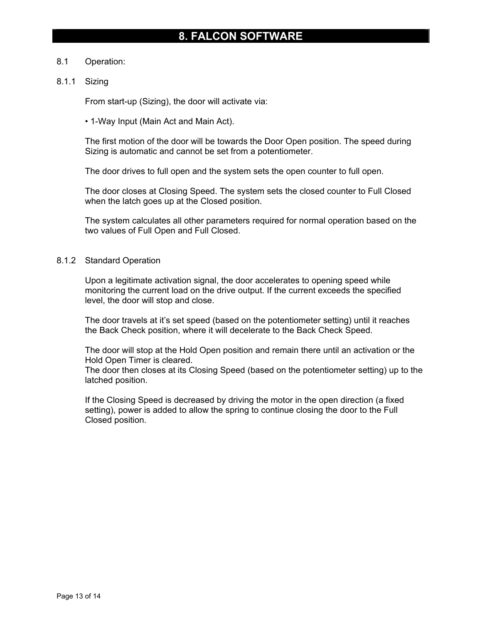#### 8.1 Operation:

#### 8.1.1 Sizing

From start-up (Sizing), the door will activate via:

• 1-Way Input (Main Act and Main Act).

 The first motion of the door will be towards the Door Open position. The speed during Sizing is automatic and cannot be set from a potentiometer.

The door drives to full open and the system sets the open counter to full open.

 The door closes at Closing Speed. The system sets the closed counter to Full Closed when the latch goes up at the Closed position.

 The system calculates all other parameters required for normal operation based on the two values of Full Open and Full Closed.

#### 8.1.2 Standard Operation

 Upon a legitimate activation signal, the door accelerates to opening speed while monitoring the current load on the drive output. If the current exceeds the specified level, the door will stop and close.

 The door travels at it's set speed (based on the potentiometer setting) until it reaches the Back Check position, where it will decelerate to the Back Check Speed.

 The door will stop at the Hold Open position and remain there until an activation or the Hold Open Timer is cleared.

 The door then closes at its Closing Speed (based on the potentiometer setting) up to the latched position.

 If the Closing Speed is decreased by driving the motor in the open direction (a fixed setting), power is added to allow the spring to continue closing the door to the Full Closed position.